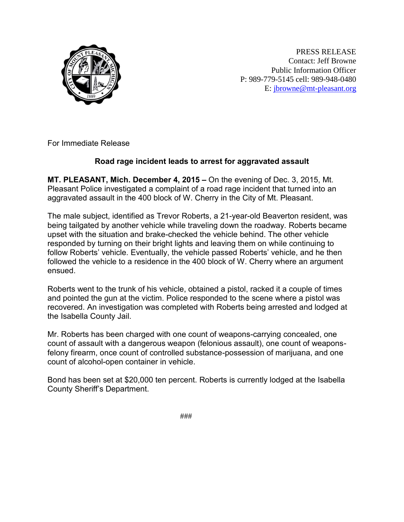

PRESS RELEASE Contact: Jeff Browne Public Information Officer P: 989-779-5145 cell: 989-948-0480 E: [jbrowne@mt-pleasant.org](mailto:jbrowne@mt-pleasant.org)

For Immediate Release

## **Road rage incident leads to arrest for aggravated assault**

**MT. PLEASANT, Mich. December 4, 2015 –** On the evening of Dec. 3, 2015, Mt. Pleasant Police investigated a complaint of a road rage incident that turned into an aggravated assault in the 400 block of W. Cherry in the City of Mt. Pleasant.

The male subject, identified as Trevor Roberts, a 21-year-old Beaverton resident, was being tailgated by another vehicle while traveling down the roadway. Roberts became upset with the situation and brake-checked the vehicle behind. The other vehicle responded by turning on their bright lights and leaving them on while continuing to follow Roberts' vehicle. Eventually, the vehicle passed Roberts' vehicle, and he then followed the vehicle to a residence in the 400 block of W. Cherry where an argument ensued.

Roberts went to the trunk of his vehicle, obtained a pistol, racked it a couple of times and pointed the gun at the victim. Police responded to the scene where a pistol was recovered. An investigation was completed with Roberts being arrested and lodged at the Isabella County Jail.

Mr. Roberts has been charged with one count of weapons-carrying concealed, one count of assault with a dangerous weapon (felonious assault), one count of weaponsfelony firearm, once count of controlled substance-possession of marijuana, and one count of alcohol-open container in vehicle.

Bond has been set at \$20,000 ten percent. Roberts is currently lodged at the Isabella County Sheriff's Department.

###